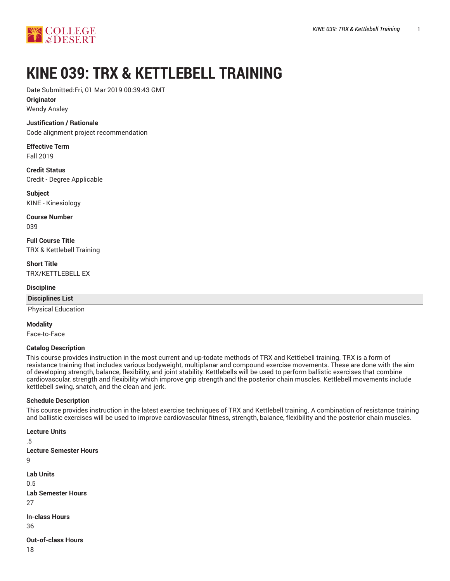

# **KINE 039: TRX & KETTLEBELL TRAINING**

Date Submitted:Fri, 01 Mar 2019 00:39:43 GMT

**Originator**

Wendy Ansley

#### **Justification / Rationale**

Code alignment project recommendation

**Effective Term** Fall 2019

**Credit Status** Credit - Degree Applicable

**Subject** KINE - Kinesiology

**Course Number** 039

**Full Course Title** TRX & Kettlebell Training

**Short Title** TRX/KETTLEBELL EX

**Discipline**

**Disciplines List**

Physical Education

**Modality**

Face-to-Face

#### **Catalog Description**

This course provides instruction in the most current and up-todate methods of TRX and Kettlebell training. TRX is a form of resistance training that includes various bodyweight, multiplanar and compound exercise movements. These are done with the aim of developing strength, balance, flexibility, and joint stability. Kettlebells will be used to perform ballistic exercises that combine cardiovascular, strength and flexibility which improve grip strength and the posterior chain muscles. Kettlebell movements include kettlebell swing, snatch, and the clean and jerk.

#### **Schedule Description**

This course provides instruction in the latest exercise techniques of TRX and Kettlebell training. A combination of resistance training and ballistic exercises will be used to improve cardiovascular fitness, strength, balance, flexibility and the posterior chain muscles.

```
Lecture Units
.5
Lecture Semester Hours
9
Lab Units
0.5
Lab Semester Hours
27
In-class Hours
36
Out-of-class Hours
18
```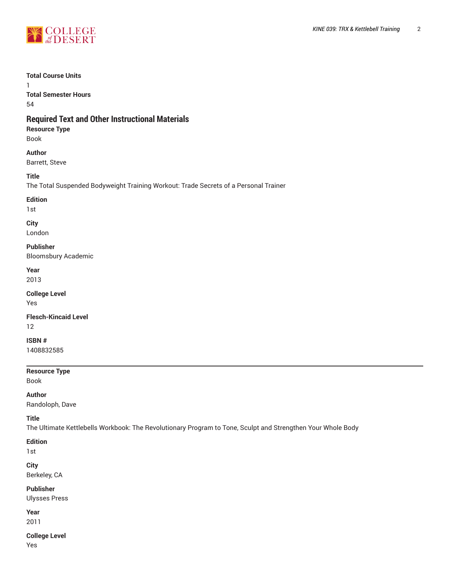

#### **Total Course Units**

1 **Total Semester Hours** 54

# **Required Text and Other Instructional Materials**

**Resource Type** Book

**Author**

Barrett, Steve

**Title**

The Total Suspended Bodyweight Training Workout: Trade Secrets of a Personal Trainer

#### **Edition**

1st

# **City**

London

## **Publisher**

Bloomsbury Academic

# **Year**

2013

#### **College Level** Yes

**Flesch-Kincaid Level** 12

# **ISBN #**

1408832585

# **Resource Type**

Book

# **Author**

Randoloph, Dave

#### **Title**

The Ultimate Kettlebells Workbook: The Revolutionary Program to Tone, Sculpt and Strengthen Your Whole Body

# **Edition**

1st

# **City**

Berkeley, CA

# **Publisher**

Ulysses Press

# **Year**

2011

#### **College Level** Yes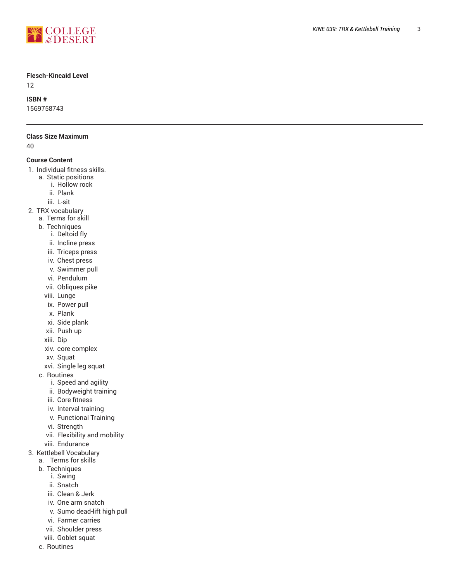

#### **Flesch-Kincaid Level**

12

#### **ISBN #**

1569758743

#### **Class Size M a x i m u m**

40

#### **Course Content**

- 1. Individual fitness skills.
	- a. Static positions
		- i. Hollow rock
		- ii. Plank
		- iii. L-sit
- 2. TRX vocabulary
	- a. Terms for skill
	- b. Techniques
		- i. Deltoid fly
		- ii. Incline press
		- iii. Triceps press
		- iv. Chest press
		- v. Swimmer pull
		- vi. Pendulum
		- vii. Obliques pike
		- viii. Lunge
		- ix. Power pull
		- x. Plank
		- xi. Side plank
		- xii. Push up
	- xiii. Dip
	- xiv. cor e c o m ple x
	- x v. Squat
	- xvi. Single leg squat
	- c. Routines
		- i. Speed and agility
		- ii. Bodyweight training
		- iii. Core fitness
		- iv. Interval trainin g
		- v. Functional Training
		- vi. Strength
		- vii. Flexibility and mobility
		- viii. Endurance
- 3. Kettlebell Vocabulary
	- a. Terms for skills
	- b. Techniques
		- i. Swing
		- ii. Snatch
		- iii. Clean & Jerk
		- iv. One arm snatch
		- v. Sumo dead-lift high pull
		- vi. Farmer carries
		- vii. Shoulder press
	- viii. Goblet squat
	- c. Routines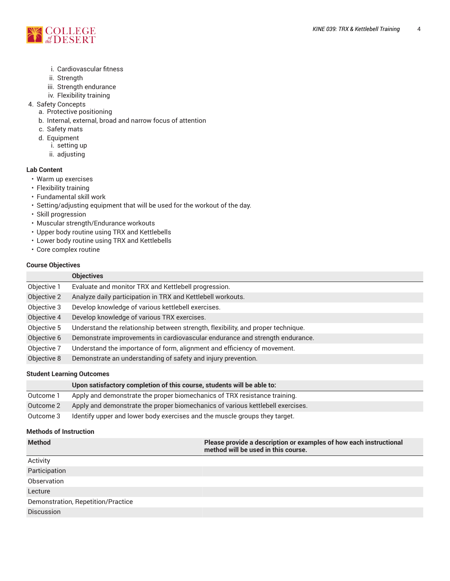

- i. Cardiovascular fitness
- ii. Strength
- iii. Strength endurance
- iv. Flexibility training
- 4. Safety Concepts
	- a. Protective positioning
	- b. Internal, external, broad and narrow focus of attention
	- c. Safety mats
	- d. Equipment
		- i. setting up
		- ii. adjusting

#### **Lab Content**

- Warm up exercises
- Flexibility training
- Fundamental skill work
- Setting/adjusting equipment that will be used for the workout of the day.
- Skill progression
- Muscular strength/Endurance workouts
- Upper body routine using TRX and Kettlebells
- Lower body routine using TRX and Kettlebells
- Core complex routine

#### **Course Objectives**

|             | <b>Objectives</b>                                                                |
|-------------|----------------------------------------------------------------------------------|
| Objective 1 | Evaluate and monitor TRX and Kettlebell progression.                             |
| Objective 2 | Analyze daily participation in TRX and Kettlebell workouts.                      |
| Objective 3 | Develop knowledge of various kettlebell exercises.                               |
| Objective 4 | Develop knowledge of various TRX exercises.                                      |
| Objective 5 | Understand the relationship between strength, flexibility, and proper technique. |
| Objective 6 | Demonstrate improvements in cardiovascular endurance and strength endurance.     |
| Objective 7 | Understand the importance of form, alignment and efficiency of movement.         |
| Objective 8 | Demonstrate an understanding of safety and injury prevention.                    |

#### **Student Learning Outcomes**

|           | Upon satisfactory completion of this course, students will be able to:         |
|-----------|--------------------------------------------------------------------------------|
| Outcome 1 | Apply and demonstrate the proper biomechanics of TRX resistance training.      |
| Outcome 2 | Apply and demonstrate the proper biomechanics of various kettlebell exercises. |
| Outcome 3 | Identify upper and lower body exercises and the muscle groups they target.     |

#### **Methods of Instruction**

| <b>Method</b>                      | Please provide a description or examples of how each instructional<br>method will be used in this course. |  |  |  |
|------------------------------------|-----------------------------------------------------------------------------------------------------------|--|--|--|
| Activity                           |                                                                                                           |  |  |  |
| Participation                      |                                                                                                           |  |  |  |
| Observation                        |                                                                                                           |  |  |  |
| Lecture                            |                                                                                                           |  |  |  |
| Demonstration, Repetition/Practice |                                                                                                           |  |  |  |
| <b>Discussion</b>                  |                                                                                                           |  |  |  |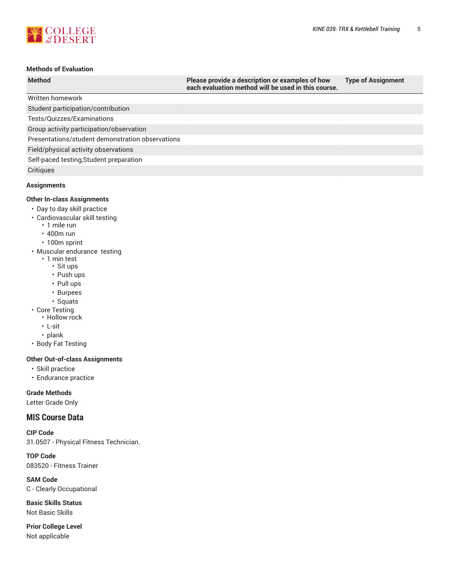

# **Methods of Evaluation**

| <b>Method</b>                                    | Please provide a description or examples of how<br>each evaluation method will be used in this course. | <b>Type of Assignment</b> |
|--------------------------------------------------|--------------------------------------------------------------------------------------------------------|---------------------------|
| Written homework                                 |                                                                                                        |                           |
| Student participation/contribution               |                                                                                                        |                           |
| Tests/Quizzes/Examinations                       |                                                                                                        |                           |
| Group activity participation/observation         |                                                                                                        |                           |
| Presentations/student demonstration observations |                                                                                                        |                           |
| Field/physical activity observations             |                                                                                                        |                           |
| Self-paced testing, Student preparation          |                                                                                                        |                           |
| Critiques                                        |                                                                                                        |                           |
| <b>Assignments</b>                               |                                                                                                        |                           |

#### **Other In-class Assignments**

- Day to day skill practice
- Cardiovascular skill testing
	- 1 mile run
	- 400m run
- 100m sprint
- Muscular endurance testing
	- 1 min test
		- Sit ups
		- Push ups
		- Pull ups
		- Burpees
- Squats • Core Testing
	- Hollow rock
	- L-sit
	- plank
- Body Fat Testing

# **Other Out-of-class Assignments**

- Skill practice
- Endurance practice

#### **Grade Methods**

Letter Grade Only

# **MIS Course Data**

**CIP Code** 31.0507 - Physical Fitness Technician.

**TOP Code** 083520 - Fitness Trainer

**SAM Code** C - Clearly Occupational

**Basic Skills Status** Not Basic Skills

**Prior College Level** Not applicable